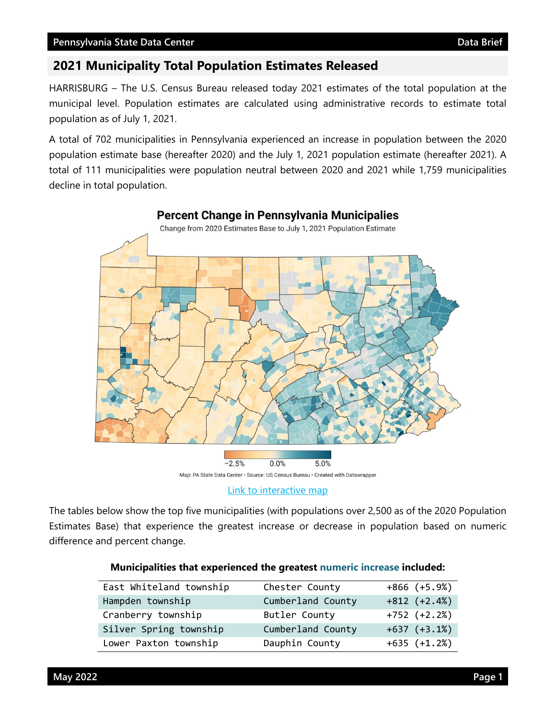# **2021 Municipality Total Population Estimates Released**

HARRISBURG – The U.S. Census Bureau released today 2021 estimates of the total population at the municipal level. Population estimates are calculated using administrative records to estimate total population as of July 1, 2021.

A total of 702 municipalities in Pennsylvania experienced an increase in population between the 2020 population estimate base (hereafter 2020) and the July 1, 2021 population estimate (hereafter 2021). A total of 111 municipalities were population neutral between 2020 and 2021 while 1,759 municipalities decline in total population.



[Link to interactive map](https://www.datawrapper.de/_/RMdWS/)

The tables below show the top five municipalities (with populations over 2,500 as of the 2020 Population Estimates Base) that experience the greatest increase or decrease in population based on numeric difference and percent change.

| East Whiteland township | Chester County    | $+866 (+5.9%)$ |
|-------------------------|-------------------|----------------|
| Hampden township        | Cumberland County | $+812 (+2.4%)$ |
| Cranberry township      | Butler County     | $+752 (+2.2%)$ |
| Silver Spring township  | Cumberland County | $+637 (+3.1%)$ |
| Lower Paxton township   | Dauphin County    | $+635 (+1.2%)$ |

## **Municipalities that experienced the greatest numeric increase included:**